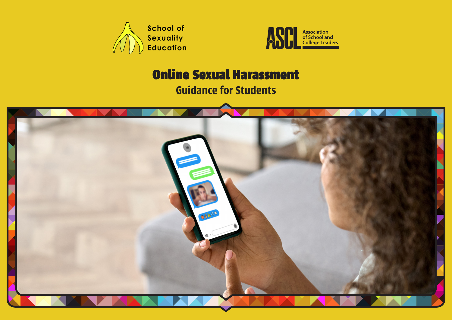



# Online Sexual Harassment

**Guidance for Students**

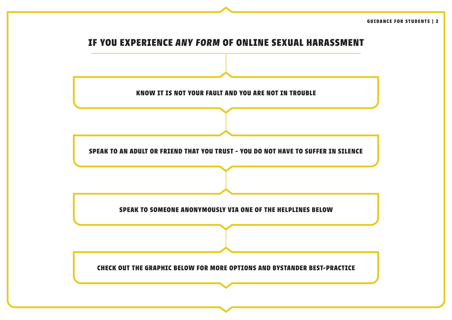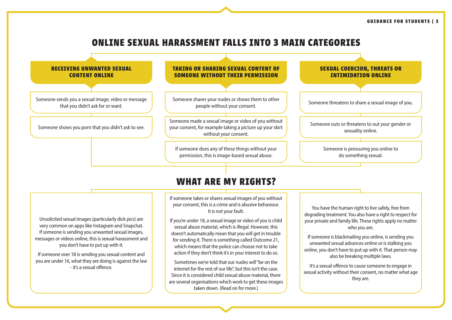# **ONLINE SEXUAL HARASSMENT FALLS INTO 3 MAIN CATEGORIES**



are several organisations which work to get these images taken down. (Read on for more.)

they are.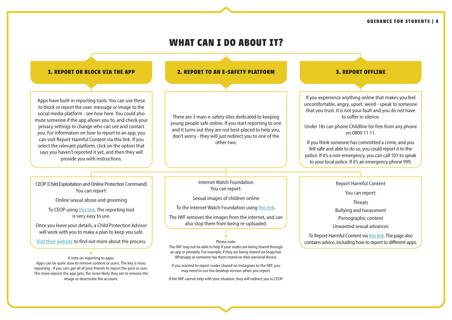#### **GUIDANCE FOR STUDENTS | 4**

#### **WHAT CAN I DO ABOUT IT? 1. REPORT OR BLOCK VIA THE APP 2. REPORT TO AN E-SAFETY PLATFORM 3. REPORT OFFLINE** Apps have built-in reporting tools. You can use these to block or report the user, message or image to the social media platform - see how here. You could also mute someone if the app allows you to, and check your privacy settings to change who can see and contact you. For information on how to report to an app, you can visit Report Harmful Content via this link. If you select the relevant platform, click on the option that says you haven't reported it yet, and then they will provide you with instructions. If you experience anything online that makes you feel uncomfortable, angry, upset, weird - speak to someone that you trust. It is not your fault and you do not have to suffer in silence. Under 18s can phone Childline for free from any phone on 0800 11 11. If you think someone has committed a crime, and you felt safe and able to do so, you could report it to the police. If it's a non-emergency, you can call 101 to speak to your local police. If it's an emergency phone 999. A note on reporting to apps: **\***Apps can be quite slow to remove content or users. The key is mass There are 3 main e-safety sites dedicated to keeping young people safe online. If you start reporting to one and it turns out they are not best-placed to help you, don't worry - they will just redirect you to one of the other two. Internet Watch Foundation You can report: Sexual images of children online To the Internet Watch Foundation using [this link.](https://report.iwf.org.uk/en) The IWF removes the images from the internet, and can also stop them from being re-uploaded. Please note: **\*** The IWF may not be able to help if your nudes are being shared through an app or privately. For example, if they are being shared via Snapchat, Whatsapp or someone has them stored on their personal device. If you wanted to report nudes shared on Instagram to the IWF, you Report Harmful Content You can report: **Threats** Bullying and harassment Pornographic content Unwanted sexual advances To Report Harmful Content via [this link](https://reportharmfulcontent.com). The page also contains advice, including how to report to different apps. CEOP (Child Exploitation and Online Protection Command) You can report: Online sexual abuse and grooming To CEOP using [this link.](https://www.ceop.police.uk/ceop-reporting/) The reporting tool is very easy to use. Once you leave your details, a Child Protection Advisor will work with you to make a plan to keep you safe. [Visit their website](https://www.ceop.police.uk/Safety-Centre/What-happens-when-I-make-a-report-YP/) to find out more about the process.

reporting - if you can, get all of your friends to report the post or user. The more reports the app gets, the more likely they are to remove the image or deactivate the account.

may need to use the desktop version when you report. If the IWF cannot help with your situation, they will redirect you to CEOP.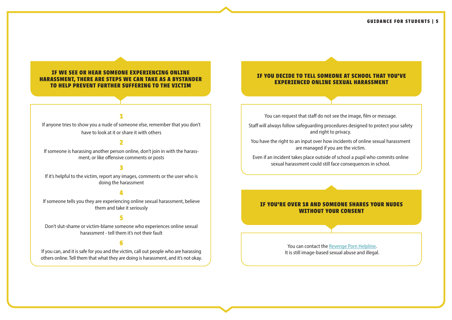#### **IF WE SEE OR HEAR SOMEONE EXPERIENCING ONLINE HARASSMENT, THERE ARE STEPS WE CAN TAKE AS A BYSTANDER TO HELP PREVENT FURTHER SUFFERING TO THE VICTIM**

# **1**

If anyone tries to show you a nude of someone else, remember that you don't have to look at it or share it with others

# **2**

If someone is harassing another person online, don't join in with the harassment, or like offensive comments or posts

# **3**

If it's helpful to the victim, report any images, comments or the user who is doing the harassment

# **4**

If someone tells you they are experiencing online sexual harassment, believe them and take it seriously

### **5**

Don't slut-shame or victim-blame someone who experiences online sexual harassment - tell them it's not their fault

#### **6**

If you can, and it is safe for you and the victim, call out people who are harassing others online. Tell them that what they are doing is harassment, and it's not okay.

#### **IF YOU DECIDE TO TELL SOMEONE AT SCHOOL THAT YOU'VE EXPERIENCED ONLINE SEXUAL HARASSMENT**

You can request that staff do not see the image, film or message.

Staff will always follow safeguarding procedures designed to protect your safety and right to privacy.

You have the right to an input over how incidents of online sexual harassment are managed if you are the victim.

Even if an incident takes place outside of school a pupil who commits online sexual harassment could still face consequences in school.

#### **IF YOU'RE OVER 18 AND SOMEONE SHARES YOUR NUDES WITHOUT YOUR CONSENT**

You can contact the [Revenge Porn Helpline.](https://revengepornhelpline.org.uk) It is still image-based sexual abuse and illegal.